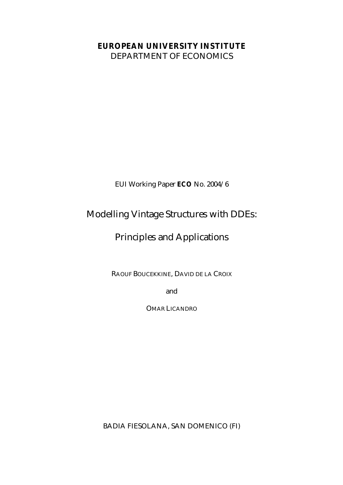## **EUROPEAN UNIVERSITY INSTITUTE**

DEPARTMENT OF ECONOMICS

EUI Working Paper **ECO** No. 2004/6

## Modelling Vintage Structures with DDEs:

## Principles and Applications

RAOUF BOUCEKKINE, DAVID DE LA CROIX

and

OMAR LICANDRO

BADIA FIESOLANA, SAN DOMENICO (FI)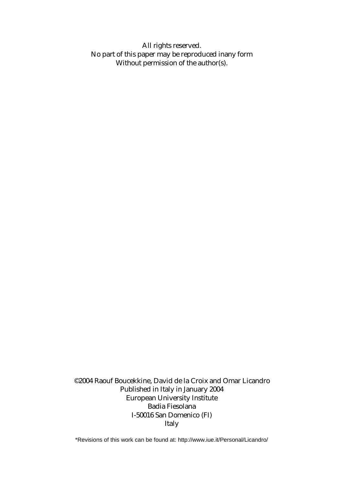All rights reserved. No part of this paper may be reproduced inany form Without permission of the author(s).

©2004 Raouf Boucekkine, David de la Croix and Omar Licandro Published in Italy in January 2004 European University Institute Badia Fiesolana I-50016 San Domenico (FI) Italy

\*Revisions of this work can be found at: http://www.iue.it/Personal/Licandro/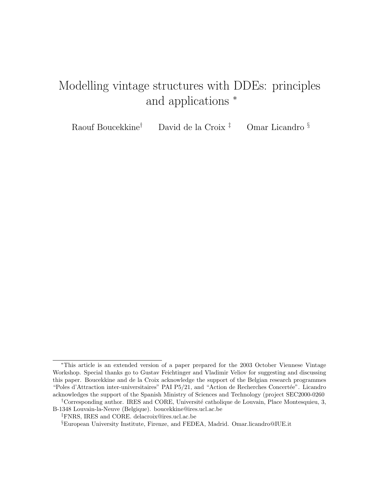# Modelling vintage structures with DDEs: principles and applications  $*$

Raouf Boucekkine<sup>†</sup> David de la Croix<sup>‡</sup> Omar Licandro §

<sup>∗</sup>This article is an extended version of a paper prepared for the 2003 October Viennese Vintage Workshop. Special thanks go to Gustav Feichtinger and Vladimir Veliov for suggesting and discussing this paper. Boucekkine and de la Croix acknowledge the support of the Belgian research programmes "Poles d'Attraction inter-universitaires" PAI P5/21, and "Action de Recherches Concertée". Licandro acknowledges the support of the Spanish Ministry of Sciences and Technology (project SEC2000-0260

<sup>&</sup>lt;sup>†</sup>Corresponding author. IRES and CORE, Université catholique de Louvain, Place Montesquieu, 3, B-1348 Louvain-la-Neuve (Belgique). boucekkine@ires.ucl.ac.be

<sup>‡</sup>FNRS, IRES and CORE. delacroix@ires.ucl.ac.be

<sup>§</sup>European University Institute, Firenze, and FEDEA, Madrid. Omar.licandro@IUE.it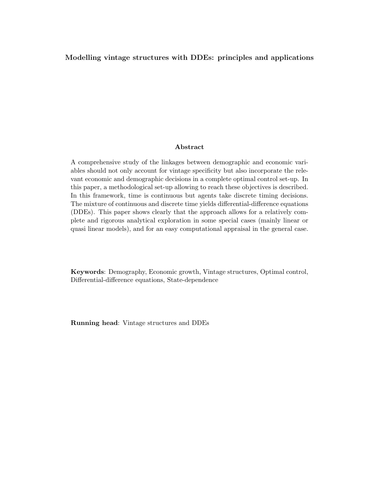#### Modelling vintage structures with DDEs: principles and applications

#### Abstract

A comprehensive study of the linkages between demographic and economic variables should not only account for vintage specificity but also incorporate the relevant economic and demographic decisions in a complete optimal control set-up. In this paper, a methodological set-up allowing to reach these objectives is described. In this framework, time is continuous but agents take discrete timing decisions. The mixture of continuous and discrete time yields differential-difference equations (DDEs). This paper shows clearly that the approach allows for a relatively complete and rigorous analytical exploration in some special cases (mainly linear or quasi linear models), and for an easy computational appraisal in the general case.

Keywords: Demography, Economic growth, Vintage structures, Optimal control, Differential-difference equations, State-dependence

Running head: Vintage structures and DDEs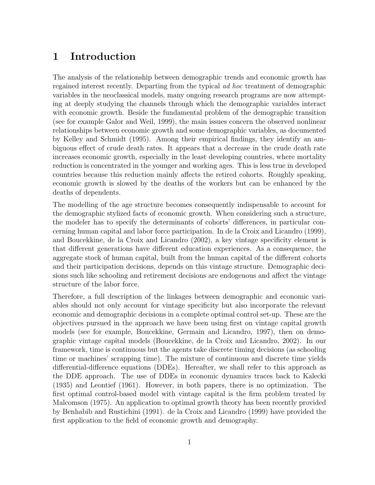## 1 Introduction

The analysis of the relationship between demographic trends and economic growth has regained interest recently. Departing from the typical ad hoc treatment of demographic variables in the neoclassical models, many ongoing research programs are now attempting at deeply studying the channels through which the demographic variables interact with economic growth. Beside the fundamental problem of the demographic transition (see for example Galor and Weil, 1999), the main issues concern the observed nonlinear relationships between economic growth and some demographic variables, as documented by Kelley and Schmidt (1995). Among their empirical findings, they identify an ambiguous effect of crude death rates. It appears that a decrease in the crude death rate increases economic growth, especially in the least developing countries, where mortality reduction is concentrated in the younger and working ages. This is less true in developed countries because this reduction mainly affects the retired cohorts. Roughly speaking, economic growth is slowed by the deaths of the workers but can be enhanced by the deaths of dependents.

The modelling of the age structure becomes consequently indispensable to account for the demographic stylized facts of economic growth. When considering such a structure, the modeler has to specify the determinants of cohorts' differences, in particular concerning human capital and labor force participation. In de la Croix and Licandro (1999), and Boucekkine, de la Croix and Licandro (2002), a key vintage specificity element is that different generations have different education experiences. As a consequence, the aggregate stock of human capital, built from the human capital of the different cohorts and their participation decisions, depends on this vintage structure. Demographic decisions such like schooling and retirement decisions are endogenous and affect the vintage structure of the labor force.

Therefore, a full description of the linkages between demographic and economic variables should not only account for vintage specificity but also incorporate the relevant economic and demographic decisions in a complete optimal control set-up. These are the objectives pursued in the approach we have been using first on vintage capital growth models (see for example, Boucekkine, Germain and Licandro, 1997), then on demographic vintage capital models (Boucekkine, de la Croix and Licandro, 2002). In our framework, time is continuous but the agents take discrete timing decisions (as schooling time or machines' scrapping time). The mixture of continuous and discrete time yields differential-difference equations (DDEs). Hereafter, we shall refer to this approach as the DDE approach. The use of DDEs in economic dynamics traces back to Kalecki (1935) and Leontief (1961). However, in both papers, there is no optimization. The first optimal control-based model with vintage capital is the firm problem treated by Malcomson (1975). An application to optimal growth theory has been recently provided by Benhabib and Rustichini (1991). de la Croix and Licandro (1999) have provided the first application to the field of economic growth and demography.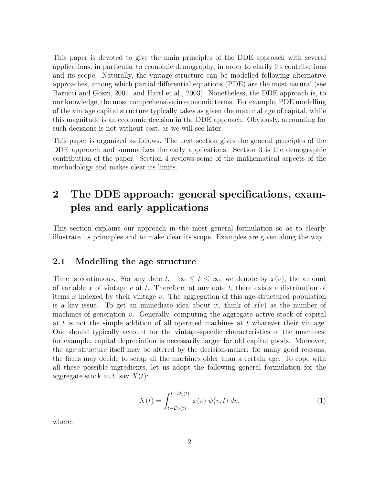This paper is devoted to give the main principles of the DDE approach with several applications, in particular to economic demography, in order to clarify its contributions and its scope. Naturally, the vintage structure can be modelled following alternative approaches, among which partial differential equations (PDE) are the most natural (see Barucci and Gozzi, 2001, and Hartl et al., 2003). Nonetheless, the DDE approach is, to our knowledge, the most comprehensive in economic terms. For example, PDE modelling of the vintage capital structure typically takes as given the maximal age of capital, while this magnitude is an economic decision in the DDE approach. Obviously, accounting for such decisions is not without cost, as we will see later.

This paper is organized as follows. The next section gives the general principles of the DDE approach and summarizes the early applications. Section 3 is the demographic contribution of the paper. Section 4 reviews some of the mathematical aspects of the methodology and makes clear its limits.

## 2 The DDE approach: general specifications, examples and early applications

This section explains our approach in the most general formulation so as to clearly illustrate its principles and to make clear its scope. Examples are given along the way.

#### 2.1 Modelling the age structure

Time is continuous. For any date  $t, -\infty \leq t \leq \infty$ , we denote by  $x(v)$ , the amount of variable x of vintage v at t. Therefore, at any date t, there exists a distribution of items x indexed by their vintage  $v$ . The aggregation of this age-structured population is a key issue. To get an immediate idea about it, think of  $x(v)$  as the number of machines of generation  $v$ . Generally, computing the aggregate active stock of capital at t is not the simple addition of all operated machines at t whatever their vintage. One should typically account for the vintage-specific characteristics of the machines: for example, capital depreciation is necessarily larger for old capital goods. Moreover, the age structure itself may be altered by the decision-maker: for many good reasons, the firms may decide to scrap all the machines older than a certain age. To cope with all these possible ingredients, let us adopt the following general formulation for the aggregate stock at t, say  $X(t)$ :

$$
X(t) = \int_{t-D_2(t)}^{t-D_1(t)} x(v) \psi(v,t) dv,
$$
\n(1)

where: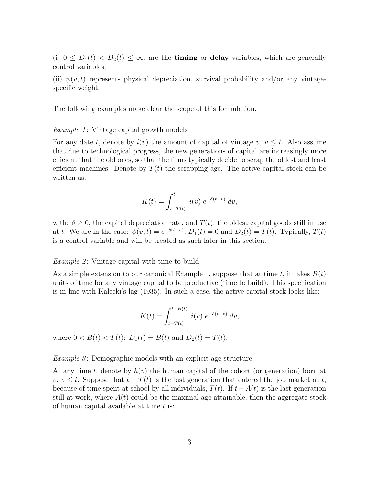(i)  $0 \leq D_1(t) < D_2(t) \leq \infty$ , are the **timing** or **delay** variables, which are generally control variables,

(ii)  $\psi(v, t)$  represents physical depreciation, survival probability and/or any vintagespecific weight.

The following examples make clear the scope of this formulation.

Example 1: Vintage capital growth models

For any date t, denote by  $i(v)$  the amount of capital of vintage v,  $v \leq t$ . Also assume that due to technological progress, the new generations of capital are increasingly more efficient that the old ones, so that the firms typically decide to scrap the oldest and least efficient machines. Denote by  $T(t)$  the scrapping age. The active capital stock can be written as:

$$
K(t) = \int_{t-T(t)}^{t} i(v) e^{-\delta(t-v)} dv,
$$

with:  $\delta \geq 0$ , the capital depreciation rate, and  $T(t)$ , the oldest capital goods still in use at t. We are in the case:  $\psi(v,t) = e^{-\delta(t-v)}$ ,  $D_1(t) = 0$  and  $D_2(t) = T(t)$ . Typically,  $T(t)$ is a control variable and will be treated as such later in this section.

Example 2: Vintage capital with time to build

As a simple extension to our canonical Example 1, suppose that at time t, it takes  $B(t)$ units of time for any vintage capital to be productive (time to build). This specification is in line with Kalecki's lag (1935). In such a case, the active capital stock looks like:

$$
K(t) = \int_{t-T(t)}^{t-B(t)} i(v) e^{-\delta(t-v)} dv,
$$

where  $0 < B(t) < T(t)$ :  $D_1(t) = B(t)$  and  $D_2(t) = T(t)$ .

*Example 3*: Demographic models with an explicit age structure

At any time t, denote by  $h(v)$  the human capital of the cohort (or generation) born at v,  $v \leq t$ . Suppose that  $t - T(t)$  is the last generation that entered the job market at t, because of time spent at school by all individuals,  $T(t)$ . If  $t - A(t)$  is the last generation still at work, where  $A(t)$  could be the maximal age attainable, then the aggregate stock of human capital available at time  $t$  is: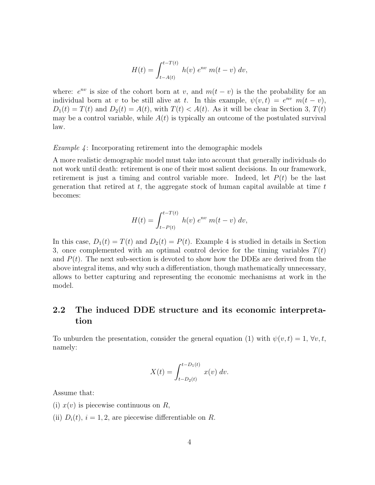$$
H(t) = \int_{t - A(t)}^{t - T(t)} h(v) e^{nv} m(t - v) dv,
$$

where:  $e^{nv}$  is size of the cohort born at v, and  $m(t - v)$  is the the probability for an individual born at v to be still alive at t. In this example,  $\psi(v,t) = e^{nv} m(t-v)$ ,  $D_1(t) = T(t)$  and  $D_2(t) = A(t)$ , with  $T(t) < A(t)$ . As it will be clear in Section 3,  $T(t)$ may be a control variable, while  $A(t)$  is typically an outcome of the postulated survival law.

#### *Example 4*: Incorporating retirement into the demographic models

A more realistic demographic model must take into account that generally individuals do not work until death: retirement is one of their most salient decisions. In our framework, retirement is just a timing and control variable more. Indeed, let  $P(t)$  be the last generation that retired at  $t$ , the aggregate stock of human capital available at time  $t$ becomes:

$$
H(t) = \int_{t-P(t)}^{t-T(t)} h(v) e^{nv} m(t-v) dv,
$$

In this case,  $D_1(t) = T(t)$  and  $D_2(t) = P(t)$ . Example 4 is studied in details in Section 3, once complemented with an optimal control device for the timing variables  $T(t)$ and  $P(t)$ . The next sub-section is devoted to show how the DDEs are derived from the above integral items, and why such a differentiation, though mathematically unnecessary, allows to better capturing and representing the economic mechanisms at work in the model.

### 2.2 The induced DDE structure and its economic interpretation

To unburden the presentation, consider the general equation (1) with  $\psi(v, t) = 1$ ,  $\forall v, t$ , namely:

$$
X(t) = \int_{t-D_2(t)}^{t-D_1(t)} x(v) dv.
$$

Assume that:

- (i)  $x(v)$  is piecewise continuous on R,
- (ii)  $D_i(t)$ ,  $i = 1, 2$ , are piecewise differentiable on R.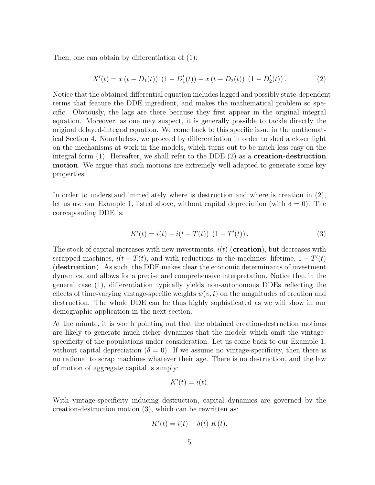Then, one can obtain by differentiation of (1):

$$
X'(t) = x(t - D_1(t)) (1 - D'_1(t)) - x(t - D_2(t)) (1 - D'_2(t)).
$$
 (2)

Notice that the obtained differential equation includes lagged and possibly state-dependent terms that feature the DDE ingredient, and makes the mathematical problem so specific. Obviously, the lags are there because they first appear in the original integral equation. Moreover, as one may suspect, it is generally possible to tackle directly the original delayed-integral equation. We come back to this specific issue in the mathematical Section 4. Nonetheless, we proceed by differentiation in order to shed a closer light on the mechanisms at work in the models, which turns out to be much less easy on the integral form  $(1)$ . Hereafter, we shall refer to the DDE  $(2)$  as a **creation-destruction** motion. We argue that such motions are extremely well adapted to generate some key properties.

In order to understand immediately where is destruction and where is creation in (2), let us use our Example 1, listed above, without capital depreciation (with  $\delta = 0$ ). The corresponding DDE is:

$$
K'(t) = i(t) - i(t - T(t)) (1 - T'(t)).
$$
\n(3)

The stock of capital increases with new investments,  $i(t)$  (**creation**), but decreases with scrapped machines,  $i(t - T(t))$ , and with reductions in the machines' lifetime,  $1 - T'(t)$ (destruction). As such, the DDE makes clear the economic determinants of investment dynamics, and allows for a precise and comprehensive interpretation. Notice that in the general case (1), differentiation typically yields non-autonomous DDEs reflecting the effects of time-varying vintage-specific weights  $\psi(v, t)$  on the magnitudes of creation and destruction. The whole DDE can be thus highly sophisticated as we will show in our demographic application in the next section.

At the minute, it is worth pointing out that the obtained creation-destruction motions are likely to generate much richer dynamics that the models which omit the vintagespecificity of the populations under consideration. Let us come back to our Example 1, without capital depreciation ( $\delta = 0$ ). If we assume no vintage-specificity, then there is no rational to scrap machines whatever their age. There is no destruction, and the law of motion of aggregate capital is simply:

$$
K'(t) = i(t).
$$

With vintage-specificity inducing destruction, capital dynamics are governed by the creation-destruction motion (3), which can be rewritten as:

$$
K'(t) = i(t) - \delta(t) K(t),
$$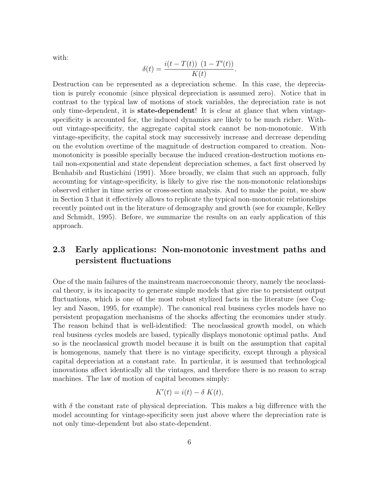with:

$$
\delta(t) = \frac{i(t - T(t)) (1 - T'(t))}{K(t)}.
$$

Destruction can be represented as a depreciation scheme. In this case, the depreciation is purely economic (since physical depreciation is assumed zero). Notice that in contrast to the typical law of motions of stock variables, the depreciation rate is not only time-dependent, it is state-dependent! It is clear at glance that when vintagespecificity is accounted for, the induced dynamics are likely to be much richer. Without vintage-specificity, the aggregate capital stock cannot be non-monotonic. With vintage-specificity, the capital stock may successively increase and decrease depending on the evolution overtime of the magnitude of destruction compared to creation. Nonmonotonicity is possible specially because the induced creation-destruction motions entail non-exponential and state dependent depreciation schemes, a fact first observed by Benhabib and Rustichini (1991). More broadly, we claim that such an approach, fully accounting for vintage-specificity, is likely to give rise the non-monotonic relationships observed either in time series or cross-section analysis. And to make the point, we show in Section 3 that it effectively allows to replicate the typical non-monotonic relationships recently pointed out in the literature of demography and growth (see for example, Kelley and Schmidt, 1995). Before, we summarize the results on an early application of this approach.

### 2.3 Early applications: Non-monotonic investment paths and persistent fluctuations

One of the main failures of the mainstream macroeconomic theory, namely the neoclassical theory, is its incapacity to generate simple models that give rise to persistent output fluctuations, which is one of the most robust stylized facts in the literature (see Cogley and Nason, 1995, for example). The canonical real business cycles models have no persistent propagation mechanisms of the shocks affecting the economies under study. The reason behind that is well-identified: The neoclassical growth model, on which real business cycles models are based, typically displays monotonic optimal paths. And so is the neoclassical growth model because it is built on the assumption that capital is homogenous, namely that there is no vintage specificity, except through a physical capital depreciation at a constant rate. In particular, it is assumed that technological innovations affect identically all the vintages, and therefore there is no reason to scrap machines. The law of motion of capital becomes simply:

$$
K'(t) = i(t) - \delta K(t),
$$

with  $\delta$  the constant rate of physical depreciation. This makes a big difference with the model accounting for vintage-specificity seen just above where the depreciation rate is not only time-dependent but also state-dependent.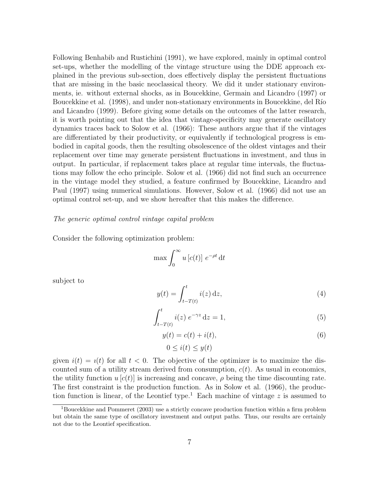Following Benhabib and Rustichini (1991), we have explored, mainly in optimal control set-ups, whether the modelling of the vintage structure using the DDE approach explained in the previous sub-section, does effectively display the persistent fluctuations that are missing in the basic neoclassical theory. We did it under stationary environments, ie. without external shocks, as in Boucekkine, Germain and Licandro (1997) or Boucekkine et al. (1998), and under non-stationary environments in Boucekkine, del Río and Licandro (1999). Before giving some details on the outcomes of the latter research, it is worth pointing out that the idea that vintage-specificity may generate oscillatory dynamics traces back to Solow et al. (1966): These authors argue that if the vintages are differentiated by their productivity, or equivalently if technological progress is embodied in capital goods, then the resulting obsolescence of the oldest vintages and their replacement over time may generate persistent fluctuations in investment, and thus in output. In particular, if replacement takes place at regular time intervals, the fluctuations may follow the echo principle. Solow et al. (1966) did not find such an occurrence in the vintage model they studied, a feature confirmed by Boucekkine, Licandro and Paul (1997) using numerical simulations. However, Solow et al. (1966) did not use an optimal control set-up, and we show hereafter that this makes the difference.

#### The generic optimal control vintage capital problem

Consider the following optimization problem:

$$
\max \int_0^\infty u[c(t)] e^{-\rho t} dt
$$

subject to

$$
y(t) = \int_{t-T(t)}^{t} i(z) dz,
$$
\n(4)

$$
\int_{t-T(t)}^{t} i(z) e^{-\gamma z} dz = 1,
$$
\n(5)

$$
y(t) = c(t) + i(t),
$$
  
\n
$$
0 \le i(t) \le y(t)
$$
\n(6)

given  $i(t) = i(t)$  for all  $t < 0$ . The objective of the optimizer is to maximize the discounted sum of a utility stream derived from consumption,  $c(t)$ . As usual in economics, the utility function  $u(c(t))$  is increasing and concave,  $\rho$  being the time discounting rate. The first constraint is the production function. As in Solow et al. (1966), the production function is linear, of the Leontief type.<sup>1</sup> Each machine of vintage z is assumed to

<sup>1</sup>Boucekkine and Pommeret (2003) use a strictly concave production function within a firm problem but obtain the same type of oscillatory investment and output paths. Thus, our results are certainly not due to the Leontief specification.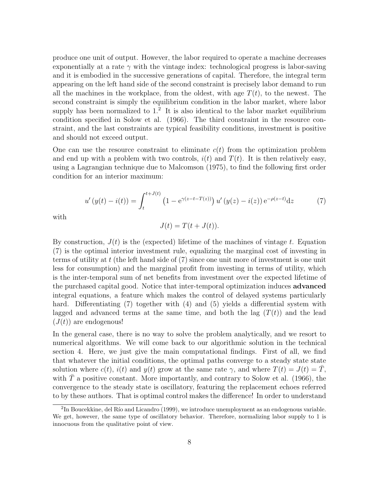produce one unit of output. However, the labor required to operate a machine decreases exponentially at a rate  $\gamma$  with the vintage index: technological progress is labor-saving and it is embodied in the successive generations of capital. Therefore, the integral term appearing on the left hand side of the second constraint is precisely labor demand to run all the machines in the workplace, from the oldest, with age  $T(t)$ , to the newest. The second constraint is simply the equilibrium condition in the labor market, where labor supply has been normalized to  $1<sup>2</sup>$ . It is also identical to the labor market equilibrium condition specified in Solow et al. (1966). The third constraint in the resource constraint, and the last constraints are typical feasibility conditions, investment is positive and should not exceed output.

One can use the resource constraint to eliminate  $c(t)$  from the optimization problem and end up with a problem with two controls,  $i(t)$  and  $T(t)$ . It is then relatively easy, using a Lagrangian technique due to Malcomson (1975), to find the following first order condition for an interior maximum:

$$
u'(y(t) - i(t)) = \int_{t}^{t+J(t)} \left(1 - e^{\gamma(z - t - T(z))}\right) u'(y(z) - i(z)) e^{-\rho(z - t)} dz \tag{7}
$$

with

$$
J(t) = T(t + J(t)).
$$

By construction,  $J(t)$  is the (expected) lifetime of the machines of vintage t. Equation (7) is the optimal interior investment rule, equalizing the marginal cost of investing in terms of utility at t (the left hand side of  $(7)$  since one unit more of investment is one unit less for consumption) and the marginal profit from investing in terms of utility, which is the inter-temporal sum of net benefits from investment over the expected lifetime of the purchased capital good. Notice that inter-temporal optimization induces advanced integral equations, a feature which makes the control of delayed systems particularly hard. Differentiating (7) together with (4) and (5) yields a differential system with lagged and advanced terms at the same time, and both the lag  $(T(t))$  and the lead  $(J(t))$  are endogenous!

In the general case, there is no way to solve the problem analytically, and we resort to numerical algorithms. We will come back to our algorithmic solution in the technical section 4. Here, we just give the main computational findings. First of all, we find that whatever the initial conditions, the optimal paths converge to a steady state state solution where  $c(t)$ ,  $i(t)$  and  $y(t)$  grow at the same rate  $\gamma$ , and where  $T(t) = J(t) = T$ , with  $\overline{T}$  a positive constant. More importantly, and contrary to Solow et al. (1966), the convergence to the steady state is oscillatory, featuring the replacement echoes referred to by these authors. That is optimal control makes the difference! In order to understand

 ${}^{2}\text{In Boucekkine, del Río and Licandro (1999), we introduce unemptyment as an endogenous variable.}$ We get, however, the same type of oscillatory behavior. Therefore, normalizing labor supply to 1 is innocuous from the qualitative point of view.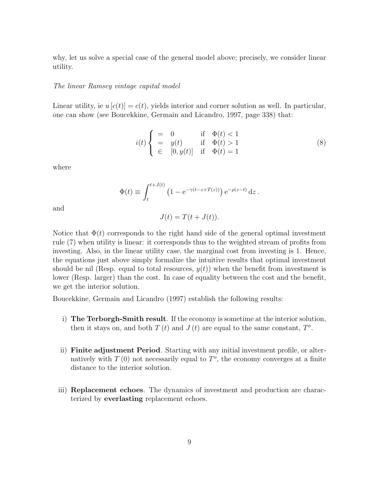why, let us solve a special case of the general model above; precisely, we consider linear utility.

#### The linear Ramsey vintage capital model

Linear utility, ie  $u |c(t)| = c(t)$ , yields interior and corner solution as well. In particular, one can show (see Boucekkine, Germain and Licandro, 1997, page 338) that:

$$
i(t)\begin{cases}\n= & 0 \quad \text{if} \quad \Phi(t) < 1 \\
= & y(t) \quad \text{if} \quad \Phi(t) > 1 \\
\in & [0, y(t)] \quad \text{if} \quad \Phi(t) = 1\n\end{cases} \tag{8}
$$

where

$$
\Phi(t) \equiv \int_{t}^{t+J(t)} \left(1 - e^{-\gamma(t-z+T(z))}\right) e^{-\rho(z-t)} dz.
$$

and

$$
J(t) = T(t + J(t)).
$$

Notice that  $\Phi(t)$  corresponds to the right hand side of the general optimal investment rule (7) when utility is linear: it corresponds thus to the weighted stream of profits from investing. Also, in the linear utility case, the marginal cost from investing is 1. Hence, the equations just above simply formalize the intuitive results that optimal investment should be nil (Resp. equal to total resources,  $y(t)$ ) when the benefit from investment is lower (Resp. larger) than the cost. In case of equality between the cost and the benefit, we get the interior solution.

Boucekkine, Germain and Licandro (1997) establish the following results:

- i) The Terborgh-Smith result. If the economy is sometime at the interior solution, then it stays on, and both  $T(t)$  and  $J(t)$  are equal to the same constant,  $T<sup>o</sup>$ .
- ii) Finite adjustment Period. Starting with any initial investment profile, or alternatively with  $T(0)$  not necessarily equal to  $T<sup>o</sup>$ , the economy converges at a finite distance to the interior solution.
- iii) Replacement echoes. The dynamics of investment and production are characterized by everlasting replacement echoes.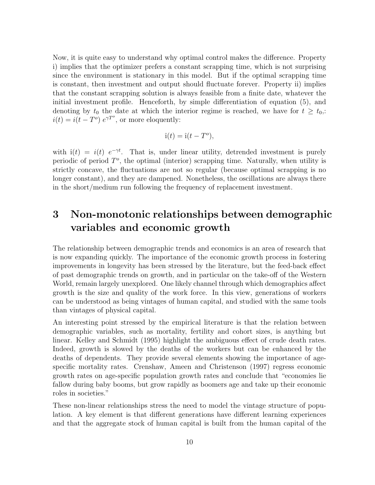Now, it is quite easy to understand why optimal control makes the difference. Property i) implies that the optimizer prefers a constant scrapping time, which is not surprising since the environment is stationary in this model. But if the optimal scrapping time is constant, then investment and output should fluctuate forever. Property ii) implies that the constant scrapping solution is always feasible from a finite date, whatever the initial investment profile. Henceforth, by simple differentiation of equation (5), and denoting by  $t_0$  the date at which the interior regime is reached, we have for  $t \geq t_0$ .  $i(t) = i(t - T^o) e^{\gamma T^o}$ , or more eloquently:

$$
\hat{\mathbf{i}}(t) = \hat{\mathbf{i}}(t - T^o),
$$

with  $\hat{i}(t) = i(t) e^{-\gamma t}$ . That is, under linear utility, detrended investment is purely periodic of period  $T^o$ , the optimal (interior) scrapping time. Naturally, when utility is strictly concave, the fluctuations are not so regular (because optimal scrapping is no longer constant), and they are dampened. Nonetheless, the oscillations are always there in the short/medium run following the frequency of replacement investment.

## 3 Non-monotonic relationships between demographic variables and economic growth

The relationship between demographic trends and economics is an area of research that is now expanding quickly. The importance of the economic growth process in fostering improvements in longevity has been stressed by the literature, but the feed-back effect of past demographic trends on growth, and in particular on the take-off of the Western World, remain largely unexplored. One likely channel through which demographics affect growth is the size and quality of the work force. In this view, generations of workers can be understood as being vintages of human capital, and studied with the same tools than vintages of physical capital.

An interesting point stressed by the empirical literature is that the relation between demographic variables, such as mortality, fertility and cohort sizes, is anything but linear. Kelley and Schmidt (1995) highlight the ambiguous effect of crude death rates. Indeed, growth is slowed by the deaths of the workers but can be enhanced by the deaths of dependents. They provide several elements showing the importance of agespecific mortality rates. Crenshaw, Ameen and Christenson (1997) regress economic growth rates on age-specific population growth rates and conclude that "economies lie fallow during baby booms, but grow rapidly as boomers age and take up their economic roles in societies."

These non-linear relationships stress the need to model the vintage structure of population. A key element is that different generations have different learning experiences and that the aggregate stock of human capital is built from the human capital of the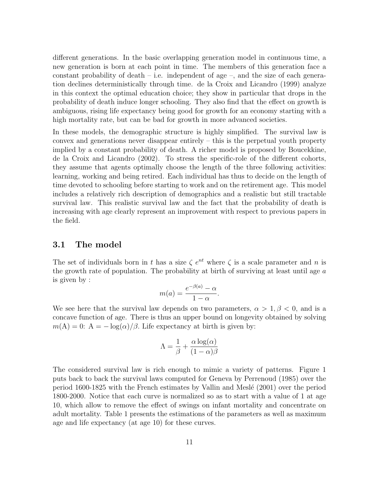different generations. In the basic overlapping generation model in continuous time, a new generation is born at each point in time. The members of this generation face a constant probability of death – i.e. independent of age  $-$ , and the size of each generation declines deterministically through time. de la Croix and Licandro (1999) analyze in this context the optimal education choice; they show in particular that drops in the probability of death induce longer schooling. They also find that the effect on growth is ambiguous, rising life expectancy being good for growth for an economy starting with a high mortality rate, but can be bad for growth in more advanced societies.

In these models, the demographic structure is highly simplified. The survival law is convex and generations never disappear entirely – this is the perpetual youth property implied by a constant probability of death. A richer model is proposed by Boucekkine, de la Croix and Licandro (2002). To stress the specific-role of the different cohorts, they assume that agents optimally choose the length of the three following activities: learning, working and being retired. Each individual has thus to decide on the length of time devoted to schooling before starting to work and on the retirement age. This model includes a relatively rich description of demographics and a realistic but still tractable survival law. This realistic survival law and the fact that the probability of death is increasing with age clearly represent an improvement with respect to previous papers in the field.

#### 3.1 The model

The set of individuals born in t has a size  $\zeta e^{nt}$  where  $\zeta$  is a scale parameter and n is the growth rate of population. The probability at birth of surviving at least until age a is given by :

$$
m(a) = \frac{e^{-\beta(a)} - \alpha}{1 - \alpha}.
$$

We see here that the survival law depends on two parameters,  $\alpha > 1, \beta < 0$ , and is a concave function of age. There is thus an upper bound on longevity obtained by solving  $m(A) = 0$ :  $A = -\log(\alpha)/\beta$ . Life expectancy at birth is given by:

$$
\Lambda = \frac{1}{\beta} + \frac{\alpha \log(\alpha)}{(1 - \alpha)\beta}
$$

The considered survival law is rich enough to mimic a variety of patterns. Figure 1 puts back to back the survival laws computed for Geneva by Perrenoud (1985) over the period  $1600-1825$  with the French estimates by Vallin and Meslé (2001) over the period 1800-2000. Notice that each curve is normalized so as to start with a value of 1 at age 10, which allow to remove the effect of swings on infant mortality and concentrate on adult mortality. Table 1 presents the estimations of the parameters as well as maximum age and life expectancy (at age 10) for these curves.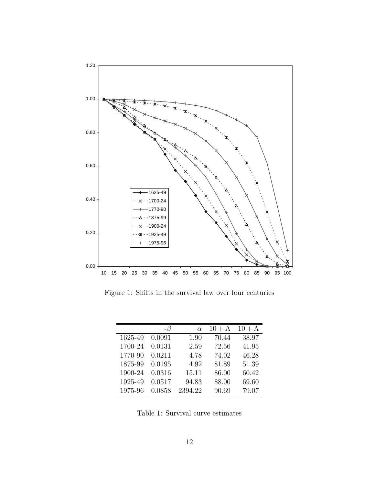

Figure 1: Shifts in the survival law over four centuries

|         | - B    | $\alpha$ | $10+A$ | $10 + \Lambda$ |
|---------|--------|----------|--------|----------------|
| 1625-49 | 0.0091 | 1.90     | 70.44  | 38.97          |
| 1700-24 | 0.0131 | 2.59     | 72.56  | 41.95          |
| 1770-90 | 0.0211 | 4.78     | 74.02  | 46.28          |
| 1875-99 | 0.0195 | 4.92     | 81.89  | 51.39          |
| 1900-24 | 0.0316 | 15.11    | 86.00  | 60.42          |
| 1925-49 | 0.0517 | 94.83    | 88.00  | 69.60          |
| 1975-96 | 0.0858 | 2394.22  | 90.69  | 79.07          |

Table 1: Survival curve estimates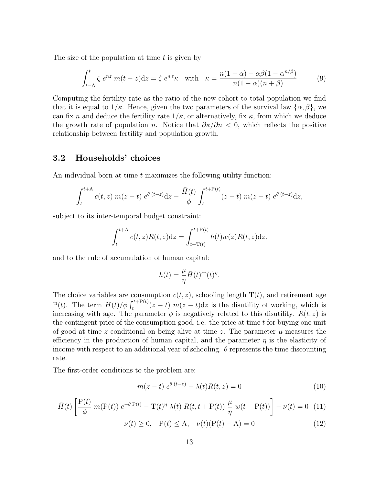The size of the population at time  $t$  is given by

$$
\int_{t-A}^{t} \zeta e^{nz} m(t-z)dz = \zeta e^{n t} \kappa \quad \text{with} \quad \kappa = \frac{n(1-\alpha) - \alpha \beta (1 - \alpha^{n/\beta})}{n(1-\alpha)(n+\beta)} \tag{9}
$$

Computing the fertility rate as the ratio of the new cohort to total population we find that it is equal to  $1/\kappa$ . Hence, given the two parameters of the survival law  $\{\alpha, \beta\}$ , we can fix n and deduce the fertility rate  $1/\kappa$ , or alternatively, fix  $\kappa$ , from which we deduce the growth rate of population n. Notice that  $\partial \kappa / \partial n < 0$ , which reflects the positive relationship between fertility and population growth.

#### 3.2 Households' choices

An individual born at time  $t$  maximizes the following utility function:

$$
\int_{t}^{t+A} c(t,z) \; m(z-t) \; e^{\theta (t-z)} dz - \frac{\bar{H}(t)}{\phi} \int_{t}^{t+P(t)} (z-t) \; m(z-t) \; e^{\theta (t-z)} dz,
$$

subject to its inter-temporal budget constraint:

$$
\int_{t}^{t+A} c(t,z)R(t,z)dz = \int_{t+T(t)}^{t+P(t)} h(t)w(z)R(t,z)dz.
$$

and to the rule of accumulation of human capital:

$$
h(t) = \frac{\mu}{\eta} \bar{H}(t) \mathrm{T}(t)^{\eta}.
$$

The choice variables are consumption  $c(t, z)$ , schooling length  $T(t)$ , and retirement age The choice variables are consumption  $c(t, z)$ , schooling length  $\Gamma(t)$ , and retriement age  $P(t)$ . The term  $\bar{H}(t)/\phi \int_{t}^{t+P(t)} (z-t) m(z-t) dz$  is the disutility of working, which is increasing with age. The parameter  $\phi$  is negatively related to this disutility.  $R(t, z)$  is the contingent price of the consumption good, i.e. the price at time  $t$  for buying one unit of good at time z conditional on being alive at time z. The parameter  $\mu$  measures the efficiency in the production of human capital, and the parameter  $\eta$  is the elasticity of income with respect to an additional year of schooling.  $\theta$  represents the time discounting rate.

The first-order conditions to the problem are:

$$
m(z-t) e^{\theta (t-z)} - \lambda(t)R(t,z) = 0
$$
\n(10)

$$
\bar{H}(t)\left[\frac{\mathrm{P}(t)}{\phi} m(\mathrm{P}(t)) e^{-\theta \mathrm{P}(t)} - \mathrm{T}(t)^{\eta} \lambda(t) R(t, t + \mathrm{P}(t)) \frac{\mu}{\eta} w(t + \mathrm{P}(t))\right] - \nu(t) = 0 \quad (11)
$$

$$
\nu(t) \ge 0, \quad P(t) \le A, \quad \nu(t)(P(t) - A) = 0 \tag{12}
$$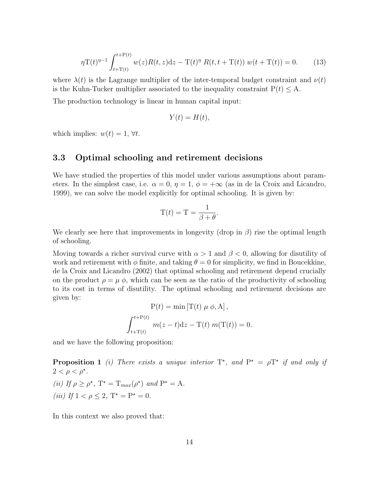$$
\eta \mathcal{T}(t)^{\eta-1} \int_{t+\mathcal{T}(t)}^{t+\mathcal{P}(t)} w(z) R(t,z) dz - \mathcal{T}(t)^{\eta} R(t,t+\mathcal{T}(t)) w(t+\mathcal{T}(t)) = 0.
$$
 (13)

where  $\lambda(t)$  is the Lagrange multiplier of the inter-temporal budget constraint and  $\nu(t)$ is the Kuhn-Tucker multiplier associated to the inequality constraint  $P(t) \leq A$ .

The production technology is linear in human capital input:

$$
Y(t) = H(t),
$$

which implies:  $w(t) = 1, \forall t$ .

#### 3.3 Optimal schooling and retirement decisions

We have studied the properties of this model under various assumptions about parameters. In the simplest case, i.e.  $\alpha = 0$ ,  $\eta = 1$ ,  $\phi = +\infty$  (as in de la Croix and Licandro, 1999), we can solve the model explicitly for optimal schooling. It is given by:

$$
\mathcal{T}(t) = \mathcal{T} = \frac{1}{\beta + \theta}.
$$

We clearly see here that improvements in longevity (drop in  $\beta$ ) rise the optimal length of schooling.

Moving towards a richer survival curve with  $\alpha > 1$  and  $\beta < 0$ , allowing for disutility of work and retirement with  $\phi$  finite, and taking  $\theta = 0$  for simplicity, we find in Boucekkine, de la Croix and Licandro (2002) that optimal schooling and retirement depend crucially on the product  $\rho = \mu \phi$ , which can be seen as the ratio of the productivity of schooling to its cost in terms of disutility. The optimal schooling and retirement decisions are given by:

$$
P(t) = \min [T(t) \mu \phi, A],
$$

$$
\int_{t+T(t)}^{t+P(t)} m(z-t)dz - T(t) m(T(t)) = 0.
$$

and we have the following proposition:

**Proposition 1** (i) There exists a unique interior  $T^*$ , and  $P^* = \rho T^*$  if and only if  $2 < \rho < \rho^*$ . (*ii*) If  $\rho \ge \rho^*$ ,  $T^* = T_{max}(\rho^*)$  and  $P^* = A$ . (*iii*) If  $1 < \rho \leq 2$ ,  $T^* = P^* = 0$ .

In this context we also proved that: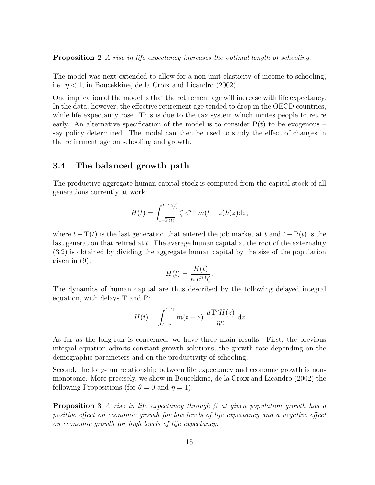Proposition 2 A rise in life expectancy increases the optimal length of schooling.

The model was next extended to allow for a non-unit elasticity of income to schooling, i.e.  $\eta$  < 1, in Boucekkine, de la Croix and Licandro (2002).

One implication of the model is that the retirement age will increase with life expectancy. In the data, however, the effective retirement age tended to drop in the OECD countries, while life expectancy rose. This is due to the tax system which incites people to retire early. An alternative specification of the model is to consider  $P(t)$  to be exogenous – say policy determined. The model can then be used to study the effect of changes in the retirement age on schooling and growth.

#### 3.4 The balanced growth path

The productive aggregate human capital stock is computed from the capital stock of all generations currently at work:

$$
H(t) = \int_{t-\overline{P(t)}}^{t-\overline{T(t)}} \zeta e^{nz} m(t-z)h(z)dz,
$$

where  $t - \overline{T(t)}$  is the last generation that entered the job market at t and  $t - \overline{P(t)}$  is the last generation that retired at  $t$ . The average human capital at the root of the externality (3.2) is obtained by dividing the aggregate human capital by the size of the population given in (9):

$$
\bar{H}(t) = \frac{H(t)}{\kappa e^{n t} \zeta}.
$$

The dynamics of human capital are thus described by the following delayed integral equation, with delays T and P:

$$
H(t) = \int_{t-P}^{t-T} m(t-z) \frac{\mu T^{\eta} H(z)}{\eta \kappa} dz
$$

As far as the long-run is concerned, we have three main results. First, the previous integral equation admits constant growth solutions, the growth rate depending on the demographic parameters and on the productivity of schooling.

Second, the long-run relationship between life expectancy and economic growth is nonmonotonic. More precisely, we show in Boucekkine, de la Croix and Licandro (2002) the following Propositions (for  $\theta = 0$  and  $\eta = 1$ ):

**Proposition 3** A rise in life expectancy through  $\beta$  at given population growth has a positive effect on economic growth for low levels of life expectancy and a negative effect on economic growth for high levels of life expectancy.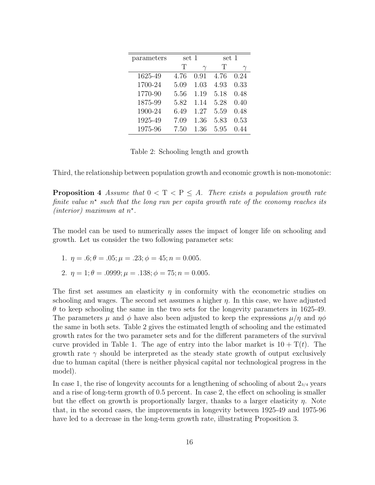| parameters | set 1 |          | set 1 |          |
|------------|-------|----------|-------|----------|
|            | Т     | $\gamma$ | Т     | $\gamma$ |
| 1625-49    | 4.76  | 0.91     | 4.76  | 0.24     |
| 1700-24    | 5.09  | 1.03     | 4.93  | 0.33     |
| 1770-90    | 5.56  | 1.19     | 5.18  | 0.48     |
| 1875-99    | 5.82  | 1.14     | 5.28  | 0.40     |
| 1900-24    | 6.49  | 1.27     | 5.59  | 0.48     |
| 1925-49    | 7.09  | 1.36     | 5.83  | 0.53     |
| 1975-96    | 7.50  | 1.36     | 5.95  | 0.44     |

Table 2: Schooling length and growth

Third, the relationship between population growth and economic growth is non-monotonic:

**Proposition 4** Assume that  $0 < T < P \leq A$ . There exists a population growth rate finite value  $n^*$  such that the long run per capita growth rate of the economy reaches its (interior) maximum at  $n^*$ .

The model can be used to numerically asses the impact of longer life on schooling and growth. Let us consider the two following parameter sets:

1. 
$$
\eta = .6; \theta = .05; \mu = .23; \phi = 45; n = 0.005.
$$

2. 
$$
\eta = 1; \theta = .0999; \mu = .138; \phi = 75; n = 0.005.
$$

The first set assumes an elasticity  $\eta$  in conformity with the econometric studies on schooling and wages. The second set assumes a higher  $\eta$ . In this case, we have adjusted  $\theta$  to keep schooling the same in the two sets for the longevity parameters in 1625-49. The parameters  $\mu$  and  $\phi$  have also been adjusted to keep the expressions  $\mu/\eta$  and  $\eta\phi$ the same in both sets. Table 2 gives the estimated length of schooling and the estimated growth rates for the two parameter sets and for the different parameters of the survival curve provided in Table 1. The age of entry into the labor market is  $10 + T(t)$ . The growth rate  $\gamma$  should be interpreted as the steady state growth of output exclusively due to human capital (there is neither physical capital nor technological progress in the model).

In case 1, the rise of longevity accounts for a lengthening of schooling of about  $2_{3/4}$  years and a rise of long-term growth of 0.5 percent. In case 2, the effect on schooling is smaller but the effect on growth is proportionally larger, thanks to a larger elasticity  $\eta$ . Note that, in the second cases, the improvements in longevity between 1925-49 and 1975-96 have led to a decrease in the long-term growth rate, illustrating Proposition 3.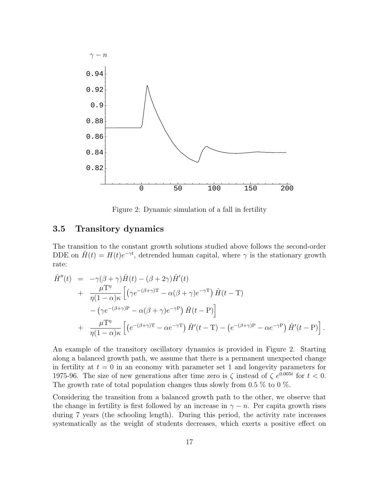

Figure 2: Dynamic simulation of a fall in fertility

#### 3.5 Transitory dynamics

The transition to the constant growth solutions studied above follows the second-order DDE on  $\hat{H}(t) = H(t)e^{-\gamma t}$ , detrended human capital, where  $\gamma$  is the stationary growth rate:

$$
\hat{H}''(t) = -\gamma(\beta + \gamma)\hat{H}(t) - (\beta + 2\gamma)\hat{H}'(t) \n+ \frac{\mu T^{\eta}}{\eta(1 - \alpha)\kappa} \left[ \left( \gamma e^{-(\beta + \gamma)T} - \alpha(\beta + \gamma)e^{-\gamma T} \right) \hat{H}(t - T) \right. \n- \left( \gamma e^{-(\beta + \gamma)P} - \alpha(\beta + \gamma)e^{-\gamma P} \right) \hat{H}(t - P) \right] \n+ \frac{\mu T^{\eta}}{\eta(1 - \alpha)\kappa} \left[ \left( e^{-(\beta + \gamma)T} - \alpha e^{-\gamma T} \right) \hat{H}'(t - T) - \left( e^{-(\beta + \gamma)P} - \alpha e^{-\gamma P} \right) \hat{H}'(t - P) \right].
$$

An example of the transitory oscillatory dynamics is provided in Figure 2. Starting along a balanced growth path, we assume that there is a permanent unexpected change in fertility at  $t = 0$  in an economy with parameter set 1 and longevity parameters for 1975-96. The size of new generations after time zero is  $\zeta$  instead of  $\zeta e^{0.005t}$  for  $t < 0$ . The growth rate of total population changes thus slowly from 0.5 % to 0 %.

Considering the transition from a balanced growth path to the other, we observe that the change in fertility is first followed by an increase in  $\gamma - n$ . Per capita growth rises during 7 years (the schooling length). During this period, the activity rate increases systematically as the weight of students decreases, which exerts a positive effect on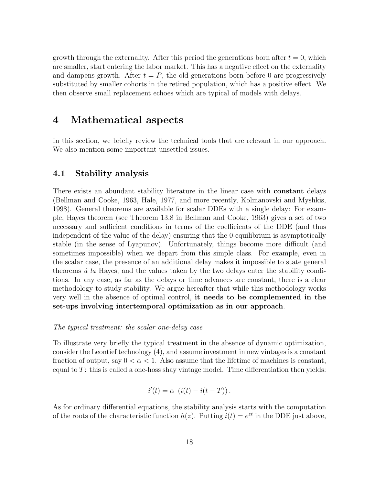growth through the externality. After this period the generations born after  $t = 0$ , which are smaller, start entering the labor market. This has a negative effect on the externality and dampens growth. After  $t = P$ , the old generations born before 0 are progressively substituted by smaller cohorts in the retired population, which has a positive effect. We then observe small replacement echoes which are typical of models with delays.

### 4 Mathematical aspects

In this section, we briefly review the technical tools that are relevant in our approach. We also mention some important unsettled issues.

#### 4.1 Stability analysis

There exists an abundant stability literature in the linear case with constant delays (Bellman and Cooke, 1963, Hale, 1977, and more recently, Kolmanovski and Myshkis, 1998). General theorems are available for scalar DDEs with a single delay: For example, Hayes theorem (see Theorem 13.8 in Bellman and Cooke, 1963) gives a set of two necessary and sufficient conditions in terms of the coefficients of the DDE (and thus independent of the value of the delay) ensuring that the 0-equilibrium is asymptotically stable (in the sense of Lyapunov). Unfortunately, things become more difficult (and sometimes impossible) when we depart from this simple class. For example, even in the scalar case, the presence of an additional delay makes it impossible to state general theorems  $\dot{a}$  la Hayes, and the values taken by the two delays enter the stability conditions. In any case, as far as the delays or time advances are constant, there is a clear methodology to study stability. We argue hereafter that while this methodology works very well in the absence of optimal control, it needs to be complemented in the set-ups involving intertemporal optimization as in our approach.

#### The typical treatment: the scalar one-delay case

To illustrate very briefly the typical treatment in the absence of dynamic optimization, consider the Leontief technology (4), and assume investment in new vintages is a constant fraction of output, say  $0 < \alpha < 1$ . Also assume that the lifetime of machines is constant, equal to  $T$ : this is called a one-hoss shay vintage model. Time differentiation then yields:

$$
i'(t) = \alpha \ \left(i(t) - i(t - T)\right).
$$

As for ordinary differential equations, the stability analysis starts with the computation of the roots of the characteristic function  $h(z)$ . Putting  $i(t) = e^{zt}$  in the DDE just above,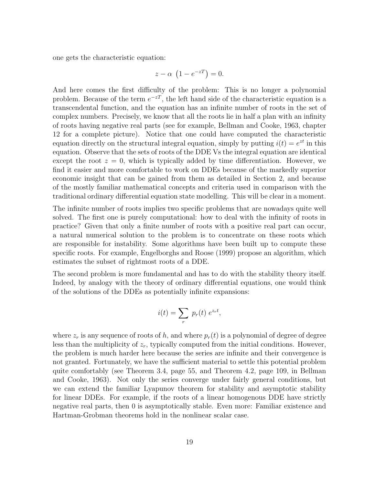one gets the characteristic equation:

$$
z - \alpha \left( 1 - e^{-zT} \right) = 0.
$$

And here comes the first difficulty of the problem: This is no longer a polynomial problem. Because of the term  $e^{-zT}$ , the left hand side of the characteristic equation is a transcendental function, and the equation has an infinite number of roots in the set of complex numbers. Precisely, we know that all the roots lie in half a plan with an infinity of roots having negative real parts (see for example, Bellman and Cooke, 1963, chapter 12 for a complete picture). Notice that one could have computed the characteristic equation directly on the structural integral equation, simply by putting  $i(t) = e^{zt}$  in this equation. Observe that the sets of roots of the DDE Vs the integral equation are identical except the root  $z = 0$ , which is typically added by time differentiation. However, we find it easier and more comfortable to work on DDEs because of the markedly superior economic insight that can be gained from them as detailed in Section 2, and because of the mostly familiar mathematical concepts and criteria used in comparison with the traditional ordinary differential equation state modelling. This will be clear in a moment.

The infinite number of roots implies two specific problems that are nowadays quite well solved. The first one is purely computational: how to deal with the infinity of roots in practice? Given that only a finite number of roots with a positive real part can occur, a natural numerical solution to the problem is to concentrate on these roots which are responsible for instability. Some algorithms have been built up to compute these specific roots. For example, Engelborghs and Roose (1999) propose an algorithm, which estimates the subset of rightmost roots of a DDE.

The second problem is more fundamental and has to do with the stability theory itself. Indeed, by analogy with the theory of ordinary differential equations, one would think of the solutions of the DDEs as potentially infinite expansions:

$$
i(t) = \sum_{r} p_r(t) e^{z_r t},
$$

where  $z_r$  is any sequence of roots of h, and where  $p_r(t)$  is a polynomial of degree of degree less than the multiplicity of  $z_r$ , typically computed from the initial conditions. However, the problem is much harder here because the series are infinite and their convergence is not granted. Fortunately, we have the sufficient material to settle this potential problem quite comfortably (see Theorem 3.4, page 55, and Theorem 4.2, page 109, in Bellman and Cooke, 1963). Not only the series converge under fairly general conditions, but we can extend the familiar Lyapunov theorem for stability and asymptotic stability for linear DDEs. For example, if the roots of a linear homogenous DDE have strictly negative real parts, then 0 is asymptotically stable. Even more: Familiar existence and Hartman-Grobman theorems hold in the nonlinear scalar case.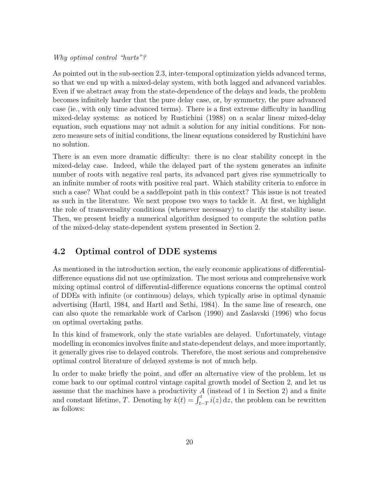#### Why optimal control "hurts"?

As pointed out in the sub-section 2.3, inter-temporal optimization yields advanced terms, so that we end up with a mixed-delay system, with both lagged and advanced variables. Even if we abstract away from the state-dependence of the delays and leads, the problem becomes infinitely harder that the pure delay case, or, by symmetry, the pure advanced case (ie., with only time advanced terms). There is a first extreme difficulty in handling mixed-delay systems: as noticed by Rustichini (1988) on a scalar linear mixed-delay equation, such equations may not admit a solution for any initial conditions. For nonzero measure sets of initial conditions, the linear equations considered by Rustichini have no solution.

There is an even more dramatic difficulty: there is no clear stability concept in the mixed-delay case. Indeed, while the delayed part of the system generates an infinite number of roots with negative real parts, its advanced part gives rise symmetrically to an infinite number of roots with positive real part. Which stability criteria to enforce in such a case? What could be a saddlepoint path in this context? This issue is not treated as such in the literature. We next propose two ways to tackle it. At first, we highlight the role of transversality conditions (whenever necessary) to clarify the stability issue. Then, we present briefly a numerical algorithm designed to compute the solution paths of the mixed-delay state-dependent system presented in Section 2.

#### 4.2 Optimal control of DDE systems

As mentioned in the introduction section, the early economic applications of differentialdifference equations did not use optimization. The most serious and comprehensive work mixing optimal control of differential-difference equations concerns the optimal control of DDEs with infinite (or continuous) delays, which typically arise in optimal dynamic advertising (Hartl, 1984, and Hartl and Sethi, 1984). In the same line of research, one can also quote the remarkable work of Carlson (1990) and Zaslavski (1996) who focus on optimal overtaking paths.

In this kind of framework, only the state variables are delayed. Unfortunately, vintage modelling in economics involves finite and state-dependent delays, and more importantly, it generally gives rise to delayed controls. Therefore, the most serious and comprehensive optimal control literature of delayed systems is not of much help.

In order to make briefly the point, and offer an alternative view of the problem, let us come back to our optimal control vintage capital growth model of Section 2, and let us assume that the machines have a productivity  $A$  (instead of 1 in Section 2) and a finite assume that the machines have a productivity A (instead of 1 in Section 2) and a finite<br>and constant lifetime, T. Denoting by  $k(t) = \int_{t-T}^{t} i(z) dz$ , the problem can be rewritten as follows: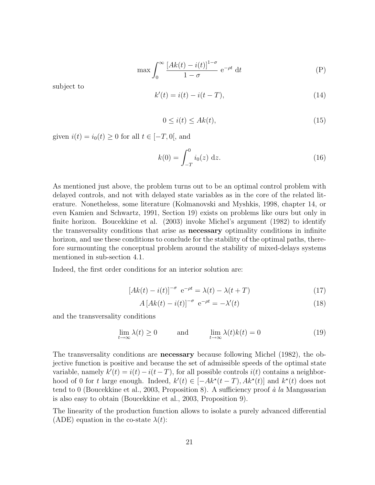$$
\max \int_0^\infty \frac{\left[Ak(t) - i(t)\right]^{1-\sigma}}{1-\sigma} e^{-\rho t} dt \tag{P}
$$

subject to

$$
k'(t) = i(t) - i(t - T),
$$
\n(14)

$$
0 \le i(t) \le Ak(t),\tag{15}
$$

given  $i(t) = i_0(t) \geq 0$  for all  $t \in [-T, 0]$ , and

$$
k(0) = \int_{-T}^{0} i_0(z) \, \mathrm{d}z. \tag{16}
$$

As mentioned just above, the problem turns out to be an optimal control problem with delayed controls, and not with delayed state variables as in the core of the related literature. Nonetheless, some literature (Kolmanovski and Myshkis, 1998, chapter 14, or even Kamien and Schwartz, 1991, Section 19) exists on problems like ours but only in finite horizon. Boucekkine et al. (2003) invoke Michel's argument (1982) to identify the transversality conditions that arise as necessary optimality conditions in infinite horizon, and use these conditions to conclude for the stability of the optimal paths, therefore surmounting the conceptual problem around the stability of mixed-delays systems mentioned in sub-section 4.1.

Indeed, the first order conditions for an interior solution are:

$$
[Ak(t) - i(t)]^{-\sigma} e^{-\rho t} = \lambda(t) - \lambda(t+T)
$$
\n(17)

$$
A\left[Ak(t) - i(t)\right]^{-\sigma} e^{-\rho t} = -\lambda'(t)
$$
\n(18)

and the transversality conditions

$$
\lim_{t \to \infty} \lambda(t) \ge 0 \qquad \text{and} \qquad \lim_{t \to \infty} \lambda(t)k(t) = 0 \tag{19}
$$

The transversality conditions are necessary because following Michel (1982), the objective function is positive and because the set of admissible speeds of the optimal state variable, namely  $k'(t) = i(t) - i(t - T)$ , for all possible controls  $i(t)$  contains a neighborhood of 0 for t large enough. Indeed,  $k'(t) \in [-Ak^*(t-T), Ak^*(t)]$  and  $k^*(t)$  does not tend to 0 (Boucekkine et al., 2003, Proposition 8). A sufficiency proof  $\dot{a}$  la Mangasarian is also easy to obtain (Boucekkine et al., 2003, Proposition 9).

The linearity of the production function allows to isolate a purely advanced differential (ADE) equation in the co-state  $\lambda(t)$ :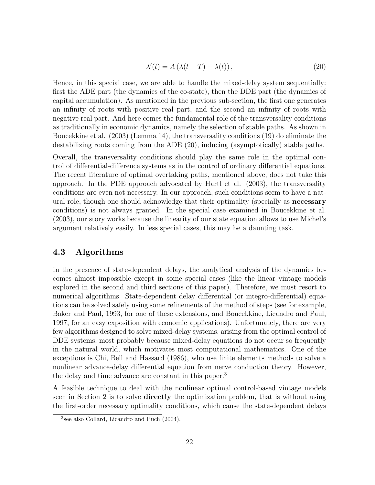$$
\lambda'(t) = A\left(\lambda(t+T) - \lambda(t)\right),\tag{20}
$$

Hence, in this special case, we are able to handle the mixed-delay system sequentially: first the ADE part (the dynamics of the co-state), then the DDE part (the dynamics of capital accumulation). As mentioned in the previous sub-section, the first one generates an infinity of roots with positive real part, and the second an infinity of roots with negative real part. And here comes the fundamental role of the transversality conditions as traditionally in economic dynamics, namely the selection of stable paths. As shown in Boucekkine et al. (2003) (Lemma 14), the transversality conditions (19) do eliminate the destabilizing roots coming from the ADE (20), inducing (asymptotically) stable paths.

Overall, the transversality conditions should play the same role in the optimal control of differential-difference systems as in the control of ordinary differential equations. The recent literature of optimal overtaking paths, mentioned above, does not take this approach. In the PDE approach advocated by Hartl et al. (2003), the transversality conditions are even not necessary. In our approach, such conditions seem to have a natural role, though one should acknowledge that their optimality (specially as necessary conditions) is not always granted. In the special case examined in Boucekkine et al. (2003), our story works because the linearity of our state equation allows to use Michel's argument relatively easily. In less special cases, this may be a daunting task.

#### 4.3 Algorithms

In the presence of state-dependent delays, the analytical analysis of the dynamics becomes almost impossible except in some special cases (like the linear vintage models explored in the second and third sections of this paper). Therefore, we must resort to numerical algorithms. State-dependent delay differential (or integro-differential) equations can be solved safely using some refinements of the method of steps (see for example, Baker and Paul, 1993, for one of these extensions, and Boucekkine, Licandro and Paul, 1997, for an easy exposition with economic applications). Unfortunately, there are very few algorithms designed to solve mixed-delay systems, arising from the optimal control of DDE systems, most probably because mixed-delay equations do not occur so frequently in the natural world, which motivates most computational mathematics. One of the exceptions is Chi, Bell and Hassard (1986), who use finite elements methods to solve a nonlinear advance-delay differential equation from nerve conduction theory. However, the delay and time advance are constant in this paper.<sup>3</sup>

A feasible technique to deal with the nonlinear optimal control-based vintage models seen in Section 2 is to solve directly the optimization problem, that is without using the first-order necessary optimality conditions, which cause the state-dependent delays

<sup>3</sup> see also Collard, Licandro and Puch (2004).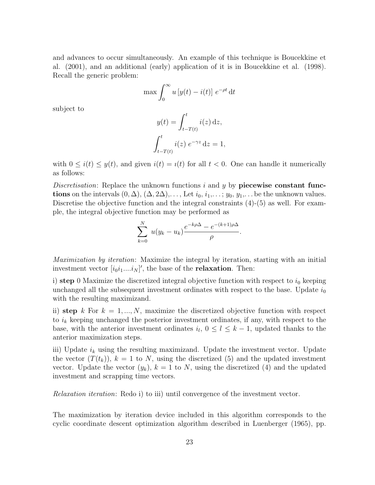and advances to occur simultaneously. An example of this technique is Boucekkine et al. (2001), and an additional (early) application of it is in Boucekkine et al. (1998). Recall the generic problem:

$$
\max \int_0^\infty u \left[ y(t) - i(t) \right] e^{-\rho t} dt
$$

subject to

$$
y(t) = \int_{t-T(t)}^{t} i(z) dz,
$$

$$
\int_{t-T(t)}^{t} i(z) e^{-\gamma z} dz = 1,
$$

with  $0 \leq i(t) \leq y(t)$ , and given  $i(t) = i(t)$  for all  $t < 0$ . One can handle it numerically as follows:

Discretisation: Replace the unknown functions i and y by piecewise constant functions on the intervals  $(0, \Delta), (\Delta, 2\Delta), \ldots$ , Let  $i_0, i_1, \ldots; y_0, y_1, \ldots$  be the unknown values. Discretise the objective function and the integral constraints  $(4)-(5)$  as well. For example, the integral objective function may be performed as

$$
\sum_{k=0}^{N} u(y_k - u_k) \frac{e^{-k\rho \Delta} - e^{-(k+1)\rho \Delta}}{\rho}
$$

.

Maximization by iteration: Maximize the integral by iteration, starting with an initial investment vector  $[i_0i_1...i_N]'$ , the base of the **relaxation**. Then:

i) step 0 Maximize the discretized integral objective function with respect to  $i_0$  keeping unchanged all the subsequent investment ordinates with respect to the base. Update  $i_0$ with the resulting maximizand.

ii) step k For  $k = 1, ..., N$ , maximize the discretized objective function with respect to  $i_k$  keeping unchanged the posterior investment ordinates, if any, with respect to the base, with the anterior investment ordinates  $i_l, 0 \le l \le k-1$ , updated thanks to the anterior maximization steps.

iii) Update  $i_k$  using the resulting maximizand. Update the investment vector. Update the vector  $(T(t_k))$ ,  $k = 1$  to N, using the discretized (5) and the updated investment vector. Update the vector  $(y_k)$ ,  $k = 1$  to N, using the discretized (4) and the updated investment and scrapping time vectors.

Relaxation iteration: Redo i) to iii) until convergence of the investment vector.

The maximization by iteration device included in this algorithm corresponds to the cyclic coordinate descent optimization algorithm described in Luenberger (1965), pp.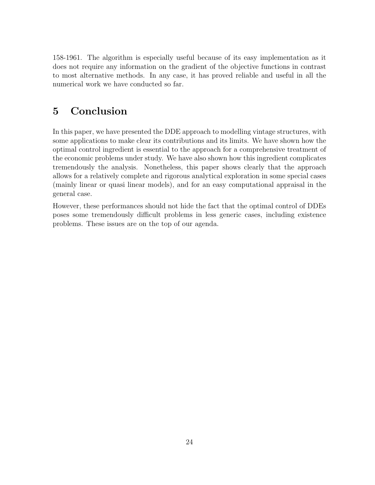158-1961. The algorithm is especially useful because of its easy implementation as it does not require any information on the gradient of the objective functions in contrast to most alternative methods. In any case, it has proved reliable and useful in all the numerical work we have conducted so far.

## 5 Conclusion

In this paper, we have presented the DDE approach to modelling vintage structures, with some applications to make clear its contributions and its limits. We have shown how the optimal control ingredient is essential to the approach for a comprehensive treatment of the economic problems under study. We have also shown how this ingredient complicates tremendously the analysis. Nonetheless, this paper shows clearly that the approach allows for a relatively complete and rigorous analytical exploration in some special cases (mainly linear or quasi linear models), and for an easy computational appraisal in the general case.

However, these performances should not hide the fact that the optimal control of DDEs poses some tremendously difficult problems in less generic cases, including existence problems. These issues are on the top of our agenda.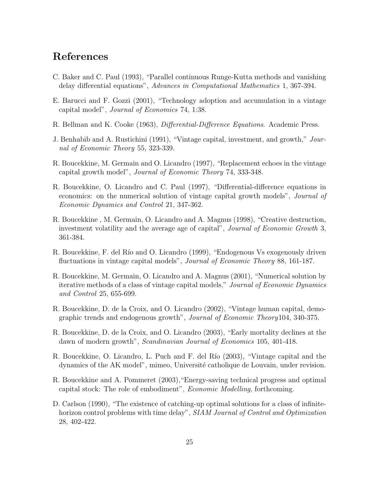### References

- C. Baker and C. Paul (1993), "Parallel continuous Runge-Kutta methods and vanishing delay differential equations", Advances in Computational Mathematics 1, 367-394.
- E. Barucci and F. Gozzi (2001), "Technology adoption and accumulation in a vintage capital model", Journal of Economics 74, 1:38.
- R. Bellman and K. Cooke (1963), Differential-Difference Equations. Academic Press.
- J. Benhabib and A. Rustichini (1991), "Vintage capital, investment, and growth," Journal of Economic Theory 55, 323-339.
- R. Boucekkine, M. Germain and O. Licandro (1997), "Replacement echoes in the vintage capital growth model", Journal of Economic Theory 74, 333-348.
- R. Boucekkine, O. Licandro and C. Paul (1997), "Differential-difference equations in economics: on the numerical solution of vintage capital growth models", *Journal of* Economic Dynamics and Control 21, 347-362.
- R. Boucekkine , M. Germain, O. Licandro and A. Magnus (1998), "Creative destruction, investment volatility and the average age of capital", Journal of Economic Growth 3, 361-384.
- R. Boucekkine, F. del Río and O. Licandro (1999), "Endogenous Vs exogenously driven fluctuations in vintage capital models", Journal of Economic Theory 88, 161-187.
- R. Boucekkine, M. Germain, O. Licandro and A. Magnus (2001), "Numerical solution by iterative methods of a class of vintage capital models," Journal of Economic Dynamics and Control 25, 655-699.
- R. Boucekkine, D. de la Croix, and O. Licandro (2002), "Vintage human capital, demographic trends and endogenous growth", Journal of Economic Theory104, 340-375.
- R. Boucekkine, D. de la Croix, and O. Licandro (2003), "Early mortality declines at the dawn of modern growth", Scandinavian Journal of Economics 105, 401-418.
- R. Boucekkine, O. Licandro, L. Puch and F. del Río (2003), "Vintage capital and the dynamics of the AK model", mimeo, Université catholique de Louvain, under revision.
- R. Boucekkine and A. Pommeret (2003),"Energy-saving technical progress and optimal capital stock: The role of embodiment", Economic Modelling, forthcoming.
- D. Carlson (1990), "The existence of catching-up optimal solutions for a class of infinitehorizon control problems with time delay", SIAM Journal of Control and Optimization 28, 402-422.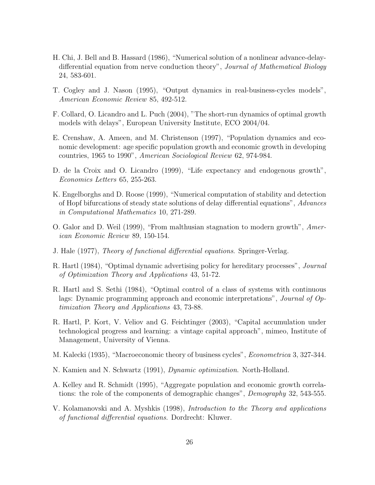- H. Chi, J. Bell and B. Hassard (1986), "Numerical solution of a nonlinear advance-delaydifferential equation from nerve conduction theory", Journal of Mathematical Biology 24, 583-601.
- T. Cogley and J. Nason (1995), "Output dynamics in real-business-cycles models", American Economic Review 85, 492-512.
- F. Collard, O. Licandro and L. Puch (2004), "The short-run dynamics of optimal growth models with delays", European University Institute, ECO 2004/04.
- E. Crenshaw, A. Ameen, and M. Christenson (1997), "Population dynamics and economic development: age specific population growth and economic growth in developing countries, 1965 to 1990", American Sociological Review 62, 974-984.
- D. de la Croix and O. Licandro (1999), "Life expectancy and endogenous growth", Economics Letters 65, 255-263.
- K. Engelborghs and D. Roose (1999), "Numerical computation of stability and detection of Hopf bifurcations of steady state solutions of delay differential equations", Advances in Computational Mathematics 10, 271-289.
- O. Galor and D. Weil (1999), "From malthusian stagnation to modern growth", American Economic Review 89, 150-154.
- J. Hale (1977), Theory of functional differential equations. Springer-Verlag.
- R. Hartl (1984), "Optimal dynamic advertising policy for hereditary processes", Journal of Optimization Theory and Applications 43, 51-72.
- R. Hartl and S. Sethi (1984), "Optimal control of a class of systems with continuous lags: Dynamic programming approach and economic interpretations", *Journal of Op*timization Theory and Applications 43, 73-88.
- R. Hartl, P. Kort, V. Veliov and G. Feichtinger (2003), "Capital accumulation under technological progress and learning: a vintage capital approach", mimeo, Institute of Management, University of Vienna.
- M. Kalecki (1935), "Macroeconomic theory of business cycles", Econometrica 3, 327-344.
- N. Kamien and N. Schwartz (1991), Dynamic optimization. North-Holland.
- A. Kelley and R. Schmidt (1995), "Aggregate population and economic growth correlations: the role of the components of demographic changes", Demography 32, 543-555.
- V. Kolamanovski and A. Myshkis (1998), Introduction to the Theory and applications of functional differential equations. Dordrecht: Kluwer.